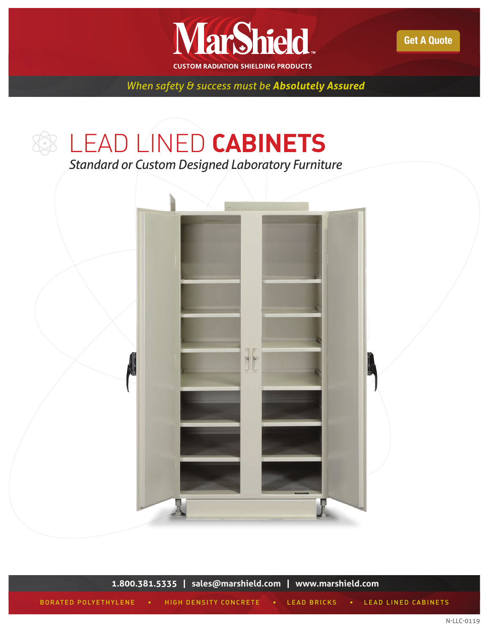

[Get A Quote](http://marsmetal.com/contact-us/request-a-quote/) 

*When safety & success must be Absolutely Assured*

# LEAD LINED **CABINETS**

*Standard or Custom Designed Laboratory Furniture*



**1.800.381.5335 | [sales@marshield.com](http://marshield.com/marshield-email/) | [www.marshield.com](http://marshield.com/)** BORATED POLYETHYLENE • HIGH DENSITY CONCRETE • LEAD BRICKS • LEAD LINED CABINETS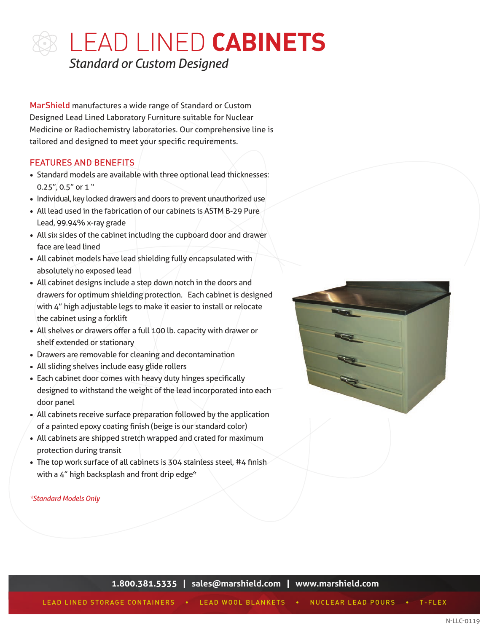MarShield manufactures a wide range of Standard or Custom Designed Lead Lined Laboratory Furniture suitable for Nuclear Medicine or Radiochemistry laboratories. Our comprehensive line is tailored and designed to meet your specific requirements.

## FEATURES AND BENEFITS

- Standard models are available with three optional lead thicknesses:  $0.25$ ", 0.5" or 1"
- Individual, key locked drawers and doors to prevent unauthorized use
- All lead used in the fabrication of our cabinets is ASTM B-29 Pure Lead, 99.94% x-ray grade
- All six sides of the cabinet including the cupboard door and drawer face are lead lined
- All cabinet models have lead shielding fully encapsulated with absolutely no exposed lead
- All cabinet designs include a step down notch in the doors and drawers for optimum shielding protection. Each cabinet is designed with 4" high adjustable legs to make it easier to install or relocate the cabinet using a forklift
- All shelves or drawers offer a full 100 lb. capacity with drawer or shelf extended or stationary
- Drawers are removable for cleaning and decontamination
- All sliding shelves include easy glide rollers
- Each cabinet door comes with heavy duty hinges specifically designed to withstand the weight of the lead incorporated into each door panel
- All cabinets receive surface preparation followed by the application of a painted epoxy coating finish (beige is our standard color)
- All cabinets are shipped stretch wrapped and crated for maximum protection during transit
- The top work surface of all cabinets is 304 stainless steel, #4 finish with a 4" high backsplash and front drip edge\*

#### *\*Standard Models Only*

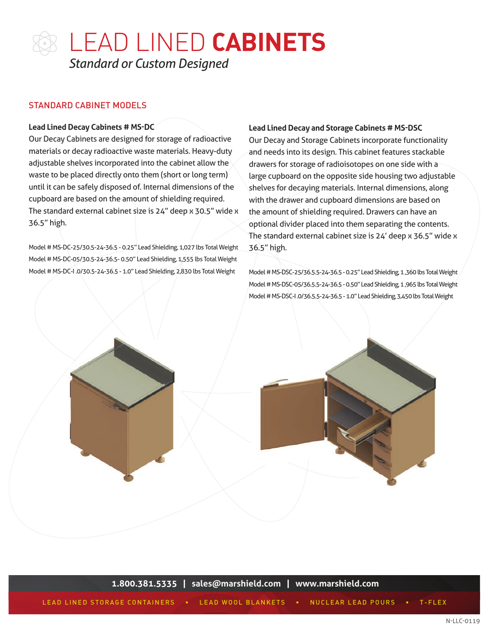### STANDARD CABINET MODELS

#### **Lead Lined Decay Cabinets # MS-DC**

Our Decay Cabinets are designed for storage of radioactive materials or decay radioactive waste materials. Heavy-duty adjustable shelves incorporated into the cabinet allow the waste to be placed directly onto them (short or long term) until it can be safely disposed of. Internal dimensions of the cupboard are based on the amount of shielding required. The standard external cabinet size is 24" deep x 30.5" wide x 36.5" high.

Model # MS-DC-25/30.5-24-36.5 - 0.25" Lead Shielding, 1,027 lbs Total Weight Model # MS-DC-05/30.5-24-36.5- 0.50" Lead Shielding, 1,555 lbs Total Weight Model # MS-DC-I .0/30.5-24-36.5 - 1.0" Lead Shielding, 2,830 lbs Total Weight

#### **Lead Lined Decay and Storage Cabinets # MS-DSC**

Our Decay and Storage Cabinets incorporate functionality and needs into its design. This cabinet features stackable drawers for storage of radioisotopes on one side with a large cupboard on the opposite side housing two adjustable shelves for decaying materials. Internal dimensions, along with the drawer and cupboard dimensions are based on the amount of shielding required. Drawers can have an optional divider placed into them separating the contents. The standard external cabinet size is 24' deep x 36.5" wide x 36.5" high.

Model # MS-DSC-25/36.5.5-24-36.5 - 0.25" Lead Shielding, 1 ,360 lbs Total Weight Model # MS-DSC-05/36.5.5-24-36.5 - 0.50" Lead Shielding, 1 ,965 lbs Total Weight Model # MS-DSC-I .0/36.5.5-24-36.5 - 1.0" Lead Shielding, 3,450 lbs Total Weight



**1.800.381.5335 | [sales@marshield.com](http://marshield.com/marshield-email/) | [www.marshield.com](http://marshield.com/)**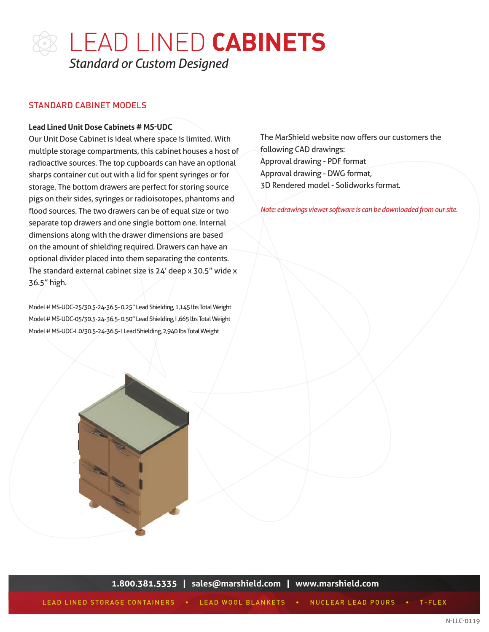### STANDARD CABINET MODELS

#### **Lead Lined Unit Dose Cabinets # MS-UDC**

Our Unit Dose Cabinet is ideal where space is limited. With multiple storage compartments, this cabinet houses a host of radioactive sources. The top cupboards can have an optional sharps container cut out with a lid for spent syringes or for storage. The bottom drawers are perfect for storing source pigs on their sides, syringes or radioisotopes, phantoms and flood sources. The two drawers can be of equal size or two separate top drawers and one single bottom one. Internal dimensions along with the drawer dimensions are based on the amount of shielding required. Drawers can have an optional divider placed into them separating the contents. The standard external cabinet size is 24' deep x 30.5" wide x 36.5" high.

Model # MS-UDC-25/30.5-24-36.5- 0.25" Lead Shielding, 1,145 lbs Total Weight Model # MS-UDC-05/30.5-24-36.5- 0.50" Lead Shielding, I ,665 lbs Total Weight Model # MS-UDC-I .0/30.5-24-36.5- I Lead Shielding, 2,940 lbs Total Weight

The MarShield website now offers our customers the following CAD drawings: Approval drawing - PDF format Approval drawing - DWG format, 3D Rendered model - Solidworks format.

*Note: edrawings viewer software is can be downloaded from our site.*



**1.800.381.5335 | [sales@marshield.com](http://marshield.com/marshield-email/) | [www.marshield.com](http://marshield.com/)**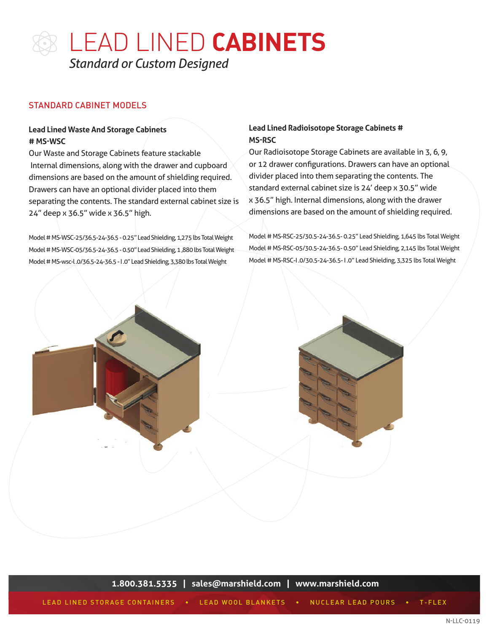

### STANDARD CABINET MODELS

### **Lead Lined Waste And Storage Cabinets # MS-WSC**

Our Waste and Storage Cabinets feature stackable Internal dimensions, along with the drawer and cupboard dimensions are based on the amount of shielding required. Drawers can have an optional divider placed into them separating the contents. The standard external cabinet size is 24" deep x 36.5" wide x 36.5" high.

Model # MS-WSC-25/36.5-24-36.5 - 0.25" Lead Shielding, 1,275 lbs Total Weight Model # MS-WSC-05/36.5-24-36.5 - 0.50" Lead Shielding, 1 ,880 lbs Total Weight Model # MS-wsc-l .0/36.5-24-36.5 - I .0" Lead Shielding, 3,380 lbs Total Weight

#### **Lead Lined Radioisotope Storage Cabinets # MS-RSC**

Our Radioisotope Storage Cabinets are available in 3, 6, 9, or 12 drawer configurations. Drawers can have an optional divider placed into them separating the contents. The standard external cabinet size is 24' deep x 30.5" wide x 36.5" high. Internal dimensions, along with the drawer dimensions are based on the amount of shielding required.

Model # MS-RSC-25/30.5-24-36.5- 0.25" Lead Shielding, 1,645 lbs Total Weight Model # MS-RSC-05/30.5-24-36.5- 0.50" Lead Shielding, 2,145 lbs Total Weight Model # MS-RSC-I .0/30.5-24-36.5- I .0" Lead Shielding, 3,325 lbs Total Weight



**1.800.381.5335 | [sales@marshield.com](http://marshield.com/marshield-email/) | [www.marshield.com](http://marshield.com/)**

LEAD LINED STORAGE CONTAINERS • LEAD WOOL BLANKETS • NUCLEAR LEAD POURS • T-FLEX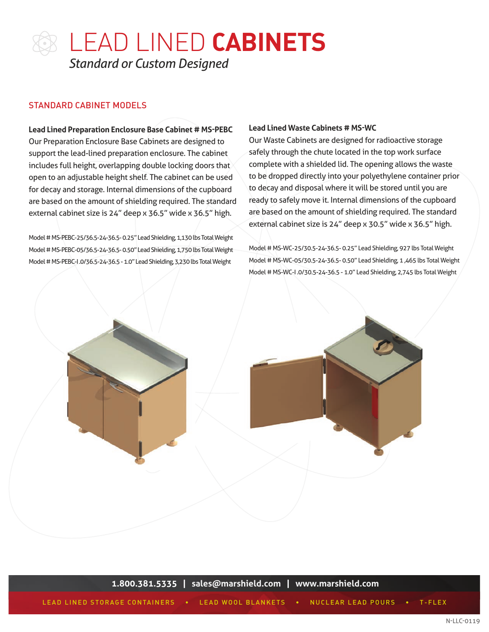### STANDARD CABINET MODELS

**Lead Lined Preparation Enclosure Base Cabinet # MS-PEBC** Our Preparation Enclosure Base Cabinets are designed to support the lead-lined preparation enclosure. The cabinet includes full height, overlapping double locking doors that open to an adjustable height shelf. The cabinet can be used for decay and storage. Internal dimensions of the cupboard are based on the amount of shielding required. The standard external cabinet size is 24" deep x 36.5" wide x 36.5" high.

Model # MS-PEBC-25/36.5-24-36.5- 0.25" Lead Shielding, 1,130 lbs Total Weight Model # MS-PEBC-05/36.5-24-36.5- 0.50" Lead Shielding, 1,750 lbs Total Weight Model # MS-PEBC-I .0/36.5-24-36.5 - 1.0" Lead Shielding, 3,230 lbs Total Weight

#### **Lead Lined Waste Cabinets # MS-WC**

Our Waste Cabinets are designed for radioactive storage safely through the chute located in the top work surface complete with a shielded lid. The opening allows the waste to be dropped directly into your polyethylene container prior to decay and disposal where it will be stored until you are ready to safely move it. Internal dimensions of the cupboard are based on the amount of shielding required. The standard external cabinet size is 24" deep x 30.5" wide x 36.5" high.

Model # MS-WC-25/30.5-24-36.5- 0.25" Lead Shielding, 927 lbs Total Weight Model # MS-WC-05/30.5-24-36.5- 0.50" Lead Shielding, 1 ,465 lbs Total Weight Model # MS-WC-I .0/30.5-24-36.5 - 1.0" Lead Shielding, 2,745 lbs Total Weight



**1.800.381.5335 | [sales@marshield.com](http://marshield.com/marshield-email/) | [www.marshield.com](http://marshield.com/)**

LEAD LINED STORAGE CONTAINERS • LEAD WOOL BLANKETS • NUCLEAR LEAD POURS • T-FLEX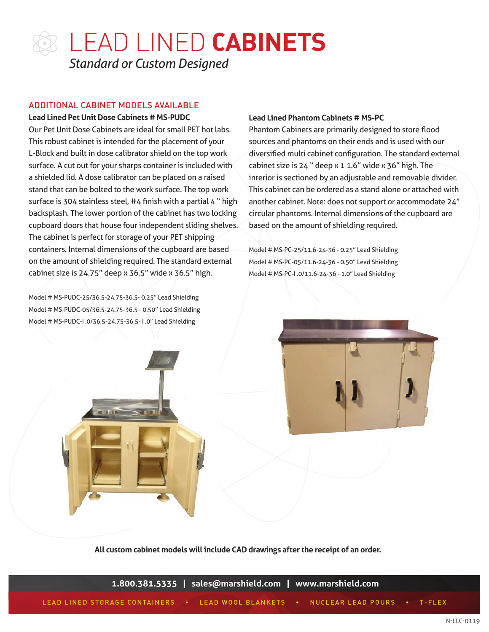

### ADDITIONAL CABINET MODELS AVAILABLE

**Lead Lined Pet Unit Dose Cabinets # MS-PUDC** 

Our Pet Unit Dose Cabinets are ideal for small PET hot labs. This robust cabinet is intended for the placement of your L-Block and built in dose calibrator shield on the top work surface. A cut out for your sharps container is included with a shielded lid. A dose calibrator can be placed on a raised stand that can be bolted to the work surface. The top work surface is 304 stainless steel, #4 finish with a partial 4 " high backsplash. The lower portion of the cabinet has two locking cupboard doors that house four independent sliding shelves. The cabinet is perfect for storage of your PET shipping containers. Internal dimensions of the cupboard are based on the amount of shielding required. The standard external cabinet size is  $24.75$ " deep x  $36.5$ " wide x  $36.5$ " high.

Model # MS-PUDC-25/36.5-24.75-36.5- 0.25" Lead Shielding Model # MS-PUDC-05/36.5-24.75-36.5 - 0.50" Lead Shielding Model # MS-PUDC-I .0/36.5-24.75-36.5- I .0" Lead Shielding

#### **Lead Lined Phantom Cabinets # MS-PC**

Phantom Cabinets are primarily designed to store flood sources and phantoms on their ends and is used with our diversified multi cabinet configuration. The standard external cabinet size is 24 " deep x 1 1.6" wide x 36" high. The interior is sectioned by an adjustable and removable divider. This cabinet can be ordered as a stand alone or attached with another cabinet. Note: does not support or accommodate 24" circular phantoms. Internal dimensions of the cupboard are based on the amount of shielding required.

Model # MS-PC-25/11.6-24-36 - 0.25" Lead Shielding Model # MS-PC-05/11.6-24-36 - 0.50" Lead Shielding Model # MS-PC-I .0/11.6-24-36 - 1.0" Lead Shielding





**All custom cabinet models will include CAD drawings after the receipt of an order.**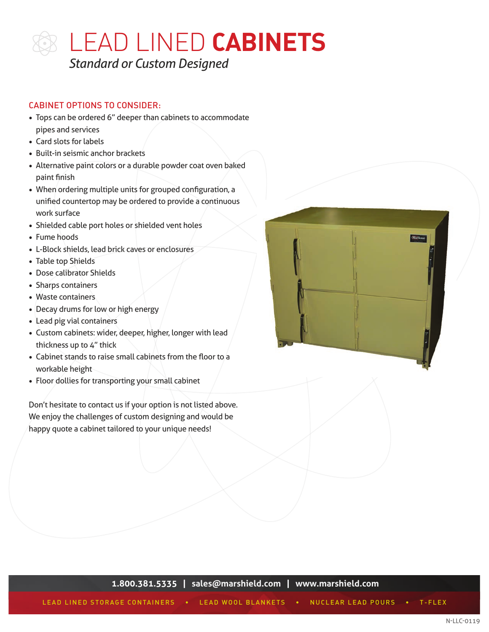

### CABINET OPTIONS TO CONSIDER:

- Tops can be ordered 6" deeper than cabinets to accommodate pipes and services
- Card slots for labels
- Built-in seismic anchor brackets
- Alternative paint colors or a durable powder coat oven baked paint finish
- When ordering multiple units for grouped configuration, a unified countertop may be ordered to provide a continuous work surface
- Shielded cable port holes or shielded vent holes
- Fume hoods
- L-Block shields, lead brick caves or enclosures
- Table top Shields
- Dose calibrator Shields
- Sharps containers
- Waste containers
- Decay drums for low or high energy
- Lead pig vial containers
- Custom cabinets: wider, deeper, higher, longer with lead thickness up to 4" thick
- Cabinet stands to raise small cabinets from the floor to a workable height
- Floor dollies for transporting your small cabinet

Don't hesitate to contact us if your option is not listed above. We enjoy the challenges of custom designing and would be happy quote a cabinet tailored to your unique needs!